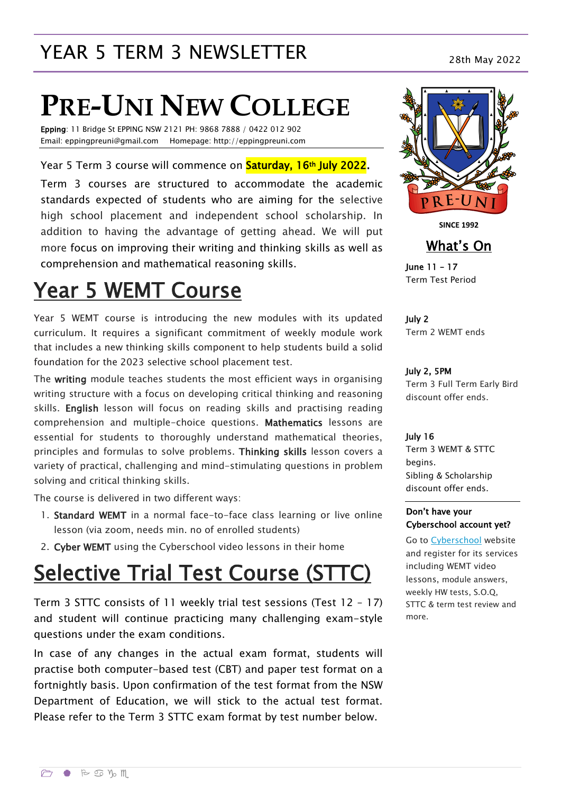## YEAR 5 TERM 3 NEWSLETTER<br>28th May 2022

# **PRE-UNI NEW COLLEGE**

Epping: 11 Bridge St EPPING NSW 2121 PH: 9868 7888 / 0422 012 902 Email: eppingpreuni@gmail.com Homepage: http://eppingpreuni.com

Year 5 Term 3 course will commence on **Saturday, 16th July 2022.** 

Term 3 courses are structured to accommodate the academic standards expected of students who are aiming for the selective high school placement and independent school scholarship. In addition to having the advantage of getting ahead. We will put more focus on improving their writing and thinking skills as well as comprehension and mathematical reasoning skills.

# Year 5 WEMT Course

Year 5 WEMT course is introducing the new modules with its updated curriculum. It requires a significant commitment of weekly module work that includes a new thinking skills component to help students build a solid foundation for the 2023 selective school placement test.

The writing module teaches students the most efficient ways in organising writing structure with a focus on developing critical thinking and reasoning skills. English lesson will focus on reading skills and practising reading comprehension and multiple-choice questions. Mathematics lessons are essential for students to thoroughly understand mathematical theories, principles and formulas to solve problems. Thinking skills lesson covers a variety of practical, challenging and mind-stimulating questions in problem solving and critical thinking skills.

The course is delivered in two different ways:

- 1. Standard WEMT in a normal face-to-face class learning or live online lesson (via zoom, needs min. no of enrolled students)
- 2. Cyber WEMT using the Cyberschool video lessons in their home

# Selective Trial Test Course (STTC)

Term 3 STTC consists of 11 weekly trial test sessions (Test 12 – 17) and student will continue practicing many challenging exam-style questions under the exam conditions.

In case of any changes in the actual exam format, students will practise both computer-based test (CBT) and paper test format on a fortnightly basis. Upon confirmation of the test format from the NSW Department of Education, we will stick to the actual test format. Please refer to the Term 3 STTC exam format by test number below.



**SINCE 1992**

What's On

June 11 – 17 Term Test Period

July 2 Term 2 WEMT ends

#### July 2, 5PM

Term 3 Full Term Early Bird discount offer ends.

#### July 16

Term 3 WEMT & STTC begins. Sibling & Scholarship discount offer ends.

#### Don't have your Cyberschool account yet?

Go to [Cyberschool](https://www.cyberschool.com.au/) website and register for its services including WEMT video lessons, module answers, weekly HW tests, S.O.Q, STTC & term test review and more.